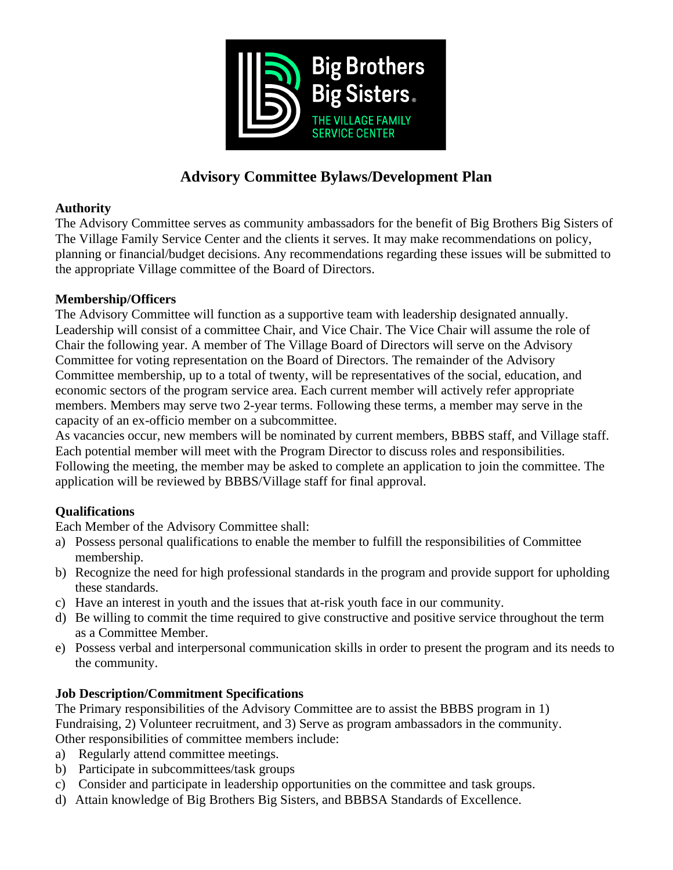

# **Advisory Committee Bylaws/Development Plan**

### **Authority**

The Advisory Committee serves as community ambassadors for the benefit of Big Brothers Big Sisters of The Village Family Service Center and the clients it serves. It may make recommendations on policy, planning or financial/budget decisions. Any recommendations regarding these issues will be submitted to the appropriate Village committee of the Board of Directors.

# **Membership/Officers**

The Advisory Committee will function as a supportive team with leadership designated annually. Leadership will consist of a committee Chair, and Vice Chair. The Vice Chair will assume the role of Chair the following year. A member of The Village Board of Directors will serve on the Advisory Committee for voting representation on the Board of Directors. The remainder of the Advisory Committee membership, up to a total of twenty, will be representatives of the social, education, and economic sectors of the program service area. Each current member will actively refer appropriate members. Members may serve two 2-year terms. Following these terms, a member may serve in the capacity of an ex-officio member on a subcommittee.

As vacancies occur, new members will be nominated by current members, BBBS staff, and Village staff. Each potential member will meet with the Program Director to discuss roles and responsibilities. Following the meeting, the member may be asked to complete an application to join the committee. The application will be reviewed by BBBS/Village staff for final approval.

# **Qualifications**

Each Member of the Advisory Committee shall:

- a) Possess personal qualifications to enable the member to fulfill the responsibilities of Committee membership.
- b) Recognize the need for high professional standards in the program and provide support for upholding these standards.
- c) Have an interest in youth and the issues that at-risk youth face in our community.
- d) Be willing to commit the time required to give constructive and positive service throughout the term as a Committee Member.
- e) Possess verbal and interpersonal communication skills in order to present the program and its needs to the community.

# **Job Description/Commitment Specifications**

The Primary responsibilities of the Advisory Committee are to assist the BBBS program in 1) Fundraising, 2) Volunteer recruitment, and 3) Serve as program ambassadors in the community. Other responsibilities of committee members include:

- a) Regularly attend committee meetings.
- b) Participate in subcommittees/task groups
- c) Consider and participate in leadership opportunities on the committee and task groups.
- d) Attain knowledge of Big Brothers Big Sisters, and BBBSA Standards of Excellence.